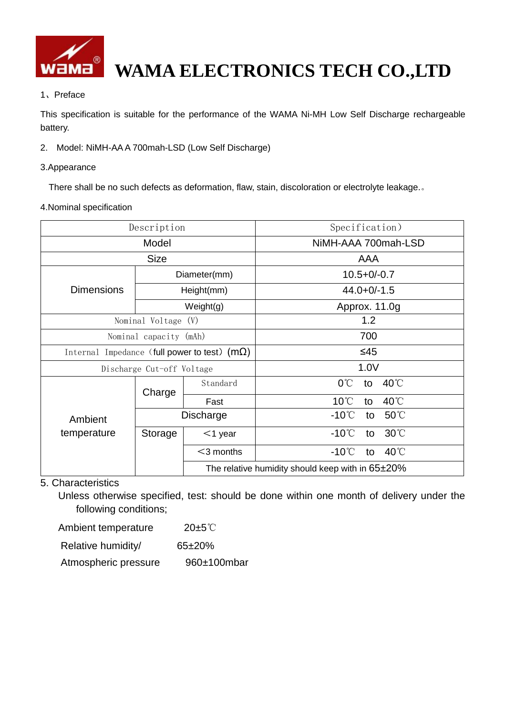

### 1、Preface

This specification is suitable for the performance of the WAMA Ni-MH Low Self Discharge rechargeable battery.

## 2. Model: NiMH-AA A 700mah-LSD (Low Self Discharge)

### 3.Appearance

There shall be no such defects as deformation, flaw, stain, discoloration or electrolyte leakage.。

#### 4.Nominal specification

| Description                                         |              |              | Specification)                                        |  |
|-----------------------------------------------------|--------------|--------------|-------------------------------------------------------|--|
| Model                                               |              |              | NiMH-AAA 700mah-LSD                                   |  |
| <b>Size</b>                                         |              |              | AAA                                                   |  |
|                                                     | Diameter(mm) |              | $10.5 + 0/-0.7$                                       |  |
| <b>Dimensions</b>                                   | Height(mm)   |              | $44.0 + 0/-1.5$                                       |  |
|                                                     | Weight(g)    |              | Approx. 11.0g                                         |  |
| Nominal Voltage (V)                                 |              |              | 1.2                                                   |  |
| Nominal capacity (mAh)                              |              |              | 700                                                   |  |
| Internal Impedance (full power to test) $(m\Omega)$ |              |              | $\leq 45$                                             |  |
| Discharge Cut-off Voltage                           |              |              | 1.0V                                                  |  |
|                                                     | Charge       | Standard     | $0^{\circ}$ C<br>40°C<br>to                           |  |
|                                                     |              | Fast         | $10^{\circ}$ C<br>40°C<br>to                          |  |
| Discharge<br>Ambient                                |              |              | $-10^{\circ}$ C<br>$50^{\circ}$<br>to                 |  |
| temperature                                         | Storage      | $<$ 1 year   | $-10^{\circ}$ C<br>$30^{\circ}$<br>to                 |  |
|                                                     |              | $<$ 3 months | 40°C<br>$-10^{\circ}$ C<br>to                         |  |
|                                                     |              |              | The relative humidity should keep with in $65\pm20\%$ |  |

# 5. Characteristics

Unless otherwise specified, test: should be done within one month of delivery under the following conditions;

Ambient temperature 20±5℃

Relative humidity/ 65±20%

Atmospheric pressure 960±100mbar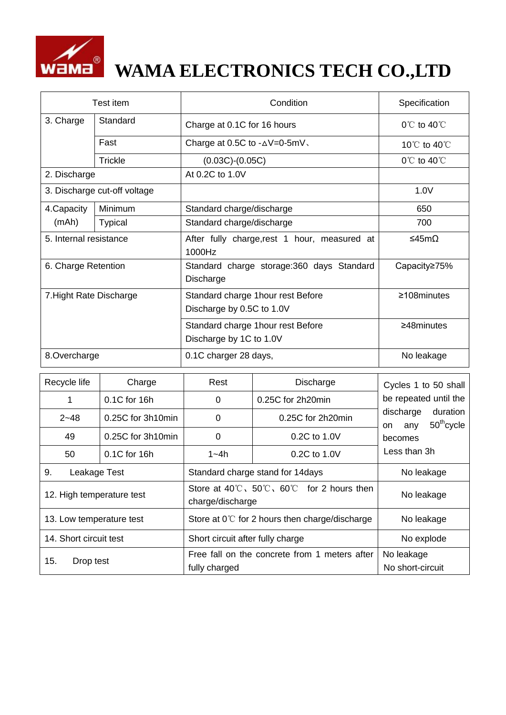

| Test item                    |                | Condition                                                       |                   | Specification                    |
|------------------------------|----------------|-----------------------------------------------------------------|-------------------|----------------------------------|
| 3. Charge                    | Standard       | Charge at 0.1C for 16 hours                                     |                   | $0^{\circ}$ C to 40 $^{\circ}$ C |
|                              | Fast           | Charge at 0.5C to $-\Delta V = 0.5$ mV.                         |                   | 10℃ to 40℃                       |
|                              | <b>Trickle</b> | $(0.03C)-(0.05C)$                                               |                   | $0^{\circ}$ C to 40 $^{\circ}$ C |
| 2. Discharge                 |                | At 0.2C to 1.0V                                                 |                   |                                  |
| 3. Discharge cut-off voltage |                |                                                                 |                   | 1.0V                             |
| 4. Capacity                  | Minimum        | Standard charge/discharge                                       |                   | 650                              |
| (mAh)                        | <b>Typical</b> | Standard charge/discharge                                       | 700               |                                  |
| 5. Internal resistance       |                | ≤45mΩ<br>After fully charge, rest 1 hour, measured at<br>1000Hz |                   |                                  |
| 6. Charge Retention          |                | Standard charge storage: 360 days Standard<br>Discharge         |                   | Capacity≥75%                     |
| 7. Hight Rate Discharge      |                | Standard charge 1hour rest Before<br>Discharge by 0.5C to 1.0V  |                   | $\geq$ 108minutes                |
|                              |                | Standard charge 1hour rest Before<br>Discharge by 1C to 1.0V    |                   | $≥48$ minutes                    |
| 8.Overcharge                 |                | 0.1C charger 28 days,                                           |                   | No leakage                       |
| Recycle life                 | Charge         | Rest                                                            | Discharge         | Cycles 1 to 50 shall             |
| 1                            | 0.1C for 16h   | 0                                                               | 0.25C for 2h20min | be repeated until the            |

|                           |                   |                                                                                            |                   | UYUIGO I IU JU JIIAII                              |
|---------------------------|-------------------|--------------------------------------------------------------------------------------------|-------------------|----------------------------------------------------|
|                           | 0.1C for 16h      | $\Omega$                                                                                   | 0.25C for 2h20min | be repeated until the                              |
| $2 - 48$                  | 0.25C for 3h10min | $\Omega$                                                                                   | 0.25C for 2h20min | discharge<br>duration<br>$50th$ cycle<br>any<br>on |
| 49                        | 0.25C for 3h10min | $\Omega$                                                                                   | 0.2C to 1.0V      | becomes                                            |
| 50                        | 0.1C for 16h      | 1~4h                                                                                       | 0.2C to 1.0V      | Less than 3h                                       |
| 9.<br>Leakage Test        |                   | Standard charge stand for 14days                                                           |                   | No leakage                                         |
| 12. High temperature test |                   | Store at $40^{\circ}$ C, $50^{\circ}$ C, $60^{\circ}$ for 2 hours then<br>charge/discharge |                   | No leakage                                         |
| 13. Low temperature test  |                   | Store at $0^{\circ}$ for 2 hours then charge/discharge                                     |                   | No leakage                                         |
| 14. Short circuit test    |                   | Short circuit after fully charge                                                           |                   | No explode                                         |
| 15.<br>Drop test          |                   | Free fall on the concrete from 1 meters after                                              |                   | No leakage                                         |
|                           |                   | fully charged                                                                              |                   | No short-circuit                                   |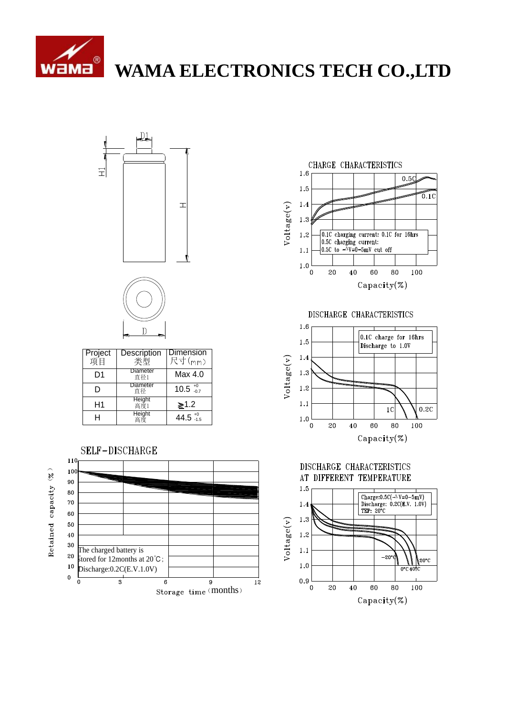





| Project<br>项目 | Description<br>类型    | <b>Dimension</b><br>尺寸(mm) |
|---------------|----------------------|----------------------------|
| D1            | Diameter<br>直径1      | Max 4.0                    |
| D             | Diameter<br>直径       | $10.5^{+0}_{-0.7}$         |
| H1            | <b>Height</b><br>高度1 | $\geq 1.2$                 |
|               | Height<br>高度         | 44.5 $^{+0}$               |





DISCHARGE CHARACTERISTICS





 $0.9$ 

 $\overline{0}$ 

 $20$ 

 $40$ 

Capacity(%)

80

100

60